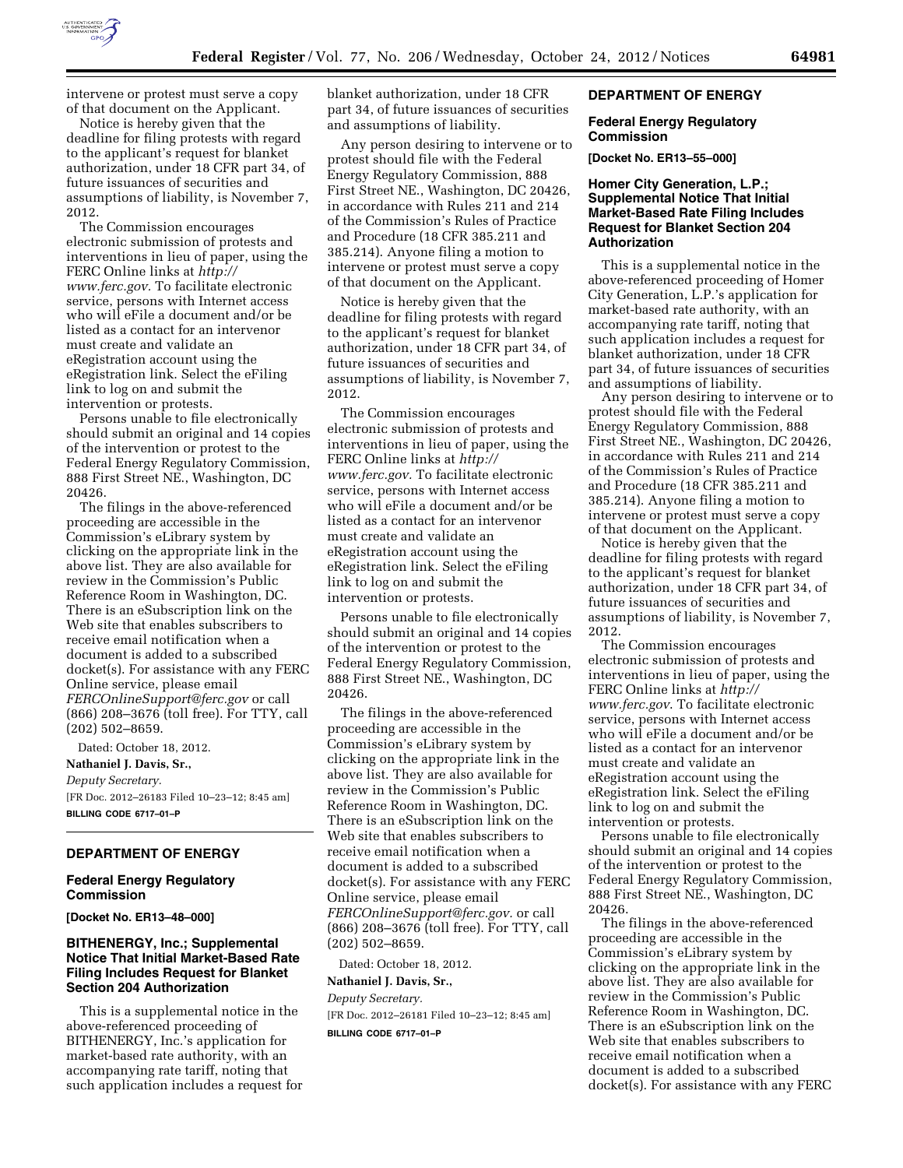

intervene or protest must serve a copy of that document on the Applicant.

Notice is hereby given that the deadline for filing protests with regard to the applicant's request for blanket authorization, under 18 CFR part 34, of future issuances of securities and assumptions of liability, is November 7, 2012.

The Commission encourages electronic submission of protests and interventions in lieu of paper, using the FERC Online links at *[http://](http://www.ferc.gov)  [www.ferc.gov.](http://www.ferc.gov)* To facilitate electronic service, persons with Internet access who will eFile a document and/or be listed as a contact for an intervenor must create and validate an eRegistration account using the eRegistration link. Select the eFiling link to log on and submit the intervention or protests.

Persons unable to file electronically should submit an original and 14 copies of the intervention or protest to the Federal Energy Regulatory Commission, 888 First Street NE., Washington, DC 20426.

The filings in the above-referenced proceeding are accessible in the Commission's eLibrary system by clicking on the appropriate link in the above list. They are also available for review in the Commission's Public Reference Room in Washington, DC. There is an eSubscription link on the Web site that enables subscribers to receive email notification when a document is added to a subscribed docket(s). For assistance with any FERC Online service, please email *[FERCOnlineSupport@ferc.gov](mailto:FERCOnlineSupport@ferc.gov)* or call (866) 208–3676 (toll free). For TTY, call (202) 502–8659.

Dated: October 18, 2012. **Nathaniel J. Davis, Sr.,**  *Deputy Secretary.*  [FR Doc. 2012–26183 Filed 10–23–12; 8:45 am] **BILLING CODE 6717–01–P** 

### **DEPARTMENT OF ENERGY**

### **Federal Energy Regulatory Commission**

**[Docket No. ER13–48–000]** 

## **BITHENERGY, Inc.; Supplemental Notice That Initial Market-Based Rate Filing Includes Request for Blanket Section 204 Authorization**

This is a supplemental notice in the above-referenced proceeding of BITHENERGY, Inc.'s application for market-based rate authority, with an accompanying rate tariff, noting that such application includes a request for blanket authorization, under 18 CFR part 34, of future issuances of securities and assumptions of liability.

Any person desiring to intervene or to protest should file with the Federal Energy Regulatory Commission, 888 First Street NE., Washington, DC 20426, in accordance with Rules 211 and 214 of the Commission's Rules of Practice and Procedure (18 CFR 385.211 and 385.214). Anyone filing a motion to intervene or protest must serve a copy of that document on the Applicant.

Notice is hereby given that the deadline for filing protests with regard to the applicant's request for blanket authorization, under 18 CFR part 34, of future issuances of securities and assumptions of liability, is November 7, 2012.

The Commission encourages electronic submission of protests and interventions in lieu of paper, using the FERC Online links at *[http://](http://www.ferc.gov)  [www.ferc.gov.](http://www.ferc.gov)* To facilitate electronic service, persons with Internet access who will eFile a document and/or be listed as a contact for an intervenor must create and validate an eRegistration account using the eRegistration link. Select the eFiling link to log on and submit the intervention or protests.

Persons unable to file electronically should submit an original and 14 copies of the intervention or protest to the Federal Energy Regulatory Commission, 888 First Street NE., Washington, DC 20426.

The filings in the above-referenced proceeding are accessible in the Commission's eLibrary system by clicking on the appropriate link in the above list. They are also available for review in the Commission's Public Reference Room in Washington, DC. There is an eSubscription link on the Web site that enables subscribers to receive email notification when a document is added to a subscribed docket(s). For assistance with any FERC Online service, please email *[FERCOnlineSupport@ferc.gov.](mailto:FERCOnlineSupport@ferc.gov)* or call (866) 208–3676 (toll free). For TTY, call (202) 502–8659.

Dated: October 18, 2012.

#### **Nathaniel J. Davis, Sr.,**

*Deputy Secretary.*  [FR Doc. 2012–26181 Filed 10–23–12; 8:45 am] **BILLING CODE 6717–01–P** 

#### **DEPARTMENT OF ENERGY**

### **Federal Energy Regulatory Commission**

**[Docket No. ER13–55–000]** 

## **Homer City Generation, L.P.; Supplemental Notice That Initial Market-Based Rate Filing Includes Request for Blanket Section 204 Authorization**

This is a supplemental notice in the above-referenced proceeding of Homer City Generation, L.P.'s application for market-based rate authority, with an accompanying rate tariff, noting that such application includes a request for blanket authorization, under 18 CFR part 34, of future issuances of securities and assumptions of liability.

Any person desiring to intervene or to protest should file with the Federal Energy Regulatory Commission, 888 First Street NE., Washington, DC 20426, in accordance with Rules 211 and 214 of the Commission's Rules of Practice and Procedure (18 CFR 385.211 and 385.214). Anyone filing a motion to intervene or protest must serve a copy of that document on the Applicant.

Notice is hereby given that the deadline for filing protests with regard to the applicant's request for blanket authorization, under 18 CFR part 34, of future issuances of securities and assumptions of liability, is November 7, 2012.

The Commission encourages electronic submission of protests and interventions in lieu of paper, using the FERC Online links at *[http://](http://www.ferc.gov)  [www.ferc.gov](http://www.ferc.gov)*. To facilitate electronic service, persons with Internet access who will eFile a document and/or be listed as a contact for an intervenor must create and validate an eRegistration account using the eRegistration link. Select the eFiling link to log on and submit the intervention or protests.

Persons unable to file electronically should submit an original and 14 copies of the intervention or protest to the Federal Energy Regulatory Commission, 888 First Street NE., Washington, DC 20426.

The filings in the above-referenced proceeding are accessible in the Commission's eLibrary system by clicking on the appropriate link in the above list. They are also available for review in the Commission's Public Reference Room in Washington, DC. There is an eSubscription link on the Web site that enables subscribers to receive email notification when a document is added to a subscribed docket(s). For assistance with any FERC